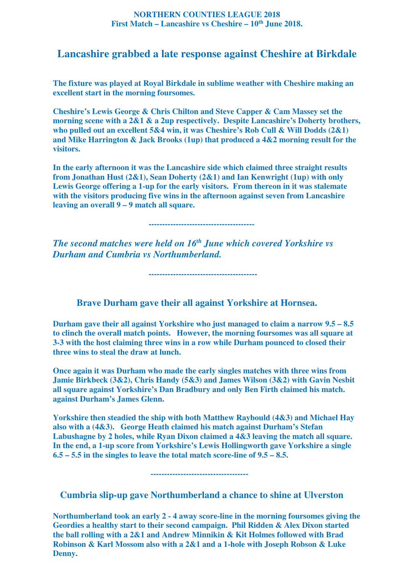## **NORTHERN COUNTIES LEAGUE 2018 First Match – Lancashire vs Cheshire – 10th June 2018.**

## **Lancashire grabbed a late response against Cheshire at Birkdale**

**The fixture was played at Royal Birkdale in sublime weather with Cheshire making an excellent start in the morning foursomes.** 

**Cheshire's Lewis George & Chris Chilton and Steve Capper & Cam Massey set the morning scene with a 2&1 & a 2up respectively. Despite Lancashire's Doherty brothers, who pulled out an excellent 5&4 win, it was Cheshire's Rob Cull & Will Dodds (2&1) and Mike Harrington & Jack Brooks (1up) that produced a 4&2 morning result for the visitors.** 

**In the early afternoon it was the Lancashire side which claimed three straight results from Jonathan Hust (2&1), Sean Doherty (2&1) and Ian Kenwright (1up) with only Lewis George offering a 1-up for the early visitors. From thereon in it was stalemate with the visitors producing five wins in the afternoon against seven from Lancashire leaving an overall 9 – 9 match all square.** 

 **---------------------------------------** 

 **----------------------------------------** 

*The second matches were held on 16th June which covered Yorkshire vs Durham and Cumbria vs Northumberland.* 

 **Brave Durham gave their all against Yorkshire at Hornsea.** 

**Durham gave their all against Yorkshire who just managed to claim a narrow 9.5 – 8.5 to clinch the overall match points. However, the morning foursomes was all square at 3-3 with the host claiming three wins in a row while Durham pounced to closed their three wins to steal the draw at lunch.** 

**Once again it was Durham who made the early singles matches with three wins from Jamie Birkbeck (3&2), Chris Handy (5&3) and James Wilson (3&2) with Gavin Nesbit all square against Yorkshire's Dan Bradbury and only Ben Firth claimed his match. against Durham's James Glenn.** 

**Yorkshire then steadied the ship with both Matthew Raybould (4&3) and Michael Hay also with a (4&3). George Heath claimed his match against Durham's Stefan Labushagne by 2 holes, while Ryan Dixon claimed a 4&3 leaving the match all square. In the end, a 1-up score from Yorkshire's Lewis Hollingworth gave Yorkshire a single 6.5 – 5.5 in the singles to leave the total match score-line of 9.5 – 8.5.** 

 **------------------------------------** 

 **Cumbria slip-up gave Northumberland a chance to shine at Ulverston** 

**Northumberland took an early 2 - 4 away score-line in the morning foursomes giving the Geordies a healthy start to their second campaign. Phil Ridden & Alex Dixon started the ball rolling with a 2&1 and Andrew Minnikin & Kit Holmes followed with Brad Robinson & Karl Mossom also with a 2&1 and a 1-hole with Joseph Robson & Luke Denny.**